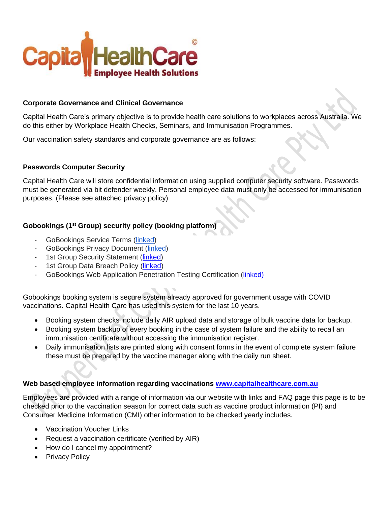

## **Corporate Governance and Clinical Governance**

Capital Health Care's primary objective is to provide health care solutions to workplaces across Australia. We do this either by Workplace Health Checks, Seminars, and Immunisation Programmes.

Our vaccination safety standards and corporate governance are as follows:

#### **Passwords Computer Security**

Capital Health Care will store confidential information using supplied computer security software. Passwords must be generated via bit defender weekly. Personal employee data must only be accessed for immunisation purposes. (Please see attached privacy policy)

## **Gobookings (1st Group) security policy (booking platform)**

- GoBookings Service Terms [\(linked\)](https://www.gobookings.com.au/terms-of-service)
- GoBookings Privacy Document [\(linked\)](https://www.gobookings.com.au/privacy)
- 1st Group Security Statement [\(linked\)](https://1stgrp.box.com/s/jjt2jsyzxkq8nhev9rvh3w5b6a8b9zyt)
- 1st Group Data Breach Policy [\(linked\)](https://1stgrp.box.com/s/m5vn7w4rwu69wzu9acxikfxnbhmu0sng)
- GoBookings Web Application Penetration Testing Certification [\(linked\)](https://1stgrp.box.com/s/qfznfczdp8hxi44i73mslddkqin43me7)

Gobookings booking system is secure system already approved for government usage with COVID vaccinations. Capital Health Care has used this system for the last 10 years.

- Booking system checks include daily AIR upload data and storage of bulk vaccine data for backup.
- Booking system backup of every booking in the case of system failure and the ability to recall an immunisation certificate without accessing the immunisation register.
- Daily immunisation lists are printed along with consent forms in the event of complete system failure these must be prepared by the vaccine manager along with the daily run sheet.

## **Web based employee information regarding vaccinations [www.capitalhealthcare.com.au](http://www.capitalhealthcare.com.au/)**

Employees are provided with a range of information via our website with links and FAQ page this page is to be checked prior to the vaccination season for correct data such as vaccine product information (PI) and Consumer Medicine Information (CMI) other information to be checked yearly includes.

- Vaccination Voucher Links
- Request a vaccination certificate (verified by AIR)
- How do I cancel my appointment?
- Privacy Policy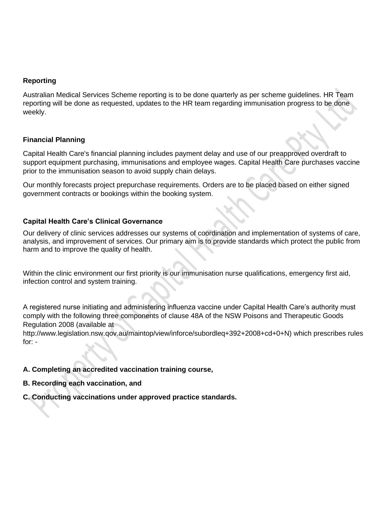## **Reporting**

Australian Medical Services Scheme reporting is to be done quarterly as per scheme guidelines. HR Team reporting will be done as requested, updates to the HR team regarding immunisation progress to be done weekly.

## **Financial Planning**

Capital Health Care's financial planning includes payment delay and use of our preapproved overdraft to support equipment purchasing, immunisations and employee wages. Capital Health Care purchases vaccine prior to the immunisation season to avoid supply chain delays.

Our monthly forecasts project prepurchase requirements. Orders are to be placed based on either signed government contracts or bookings within the booking system.

## **Capital Health Care's Clinical Governance**

Our delivery of clinic services addresses our systems of coordination and implementation of systems of care, analysis, and improvement of services. Our primary aim is to provide standards which protect the public from harm and to improve the quality of health.

Within the clinic environment our first priority is our immunisation nurse qualifications, emergency first aid, infection control and system training.

A registered nurse initiating and administering influenza vaccine under Capital Health Care's authority must comply with the following three components of clause 48A of the NSW Poisons and Therapeutic Goods Regulation 2008 (available at

http://www.legislation.nsw.qov.au/maintop/view/inforce/subordleq+392+2008+cd+0+N) which prescribes rules for: -

## **A. Completing an accredited vaccination training course,**

- **B. Recording each vaccination, and**
- **C. Conducting vaccinations under approved practice standards.**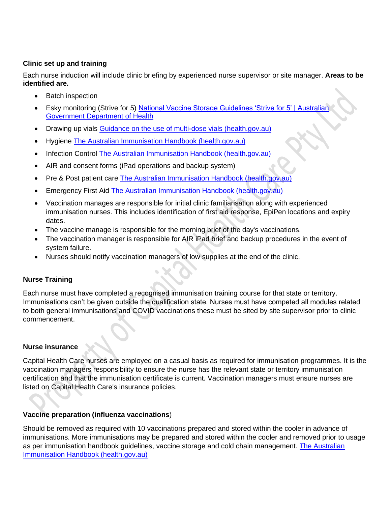# **Clinic set up and training**

Each nurse induction will include clinic briefing by experienced nurse supervisor or site manager. **Areas to be identified are.**

- Batch inspection
- Esky monitoring (Strive for 5) National Vaccine Storage Guidelines 'Strive for 5' | Australian [Government Department of Health](https://www.health.gov.au/resources/publications/national-vaccine-storage-guidelines-strive-for-5)
- Drawing up vials [Guidance on the use of multi-dose vials \(health.gov.au\)](https://www.health.gov.au/sites/default/files/documents/2021/05/covid-19-vaccination-atagi-guidance-on-the-use-of-multi-dose-vials-for-covid-19-vaccination-covid-19-vaccination-atagi-guidance-on-the-use-of-multi-dose-vials-for-covid-19-vaccination.pdf)
- Hygiene [The Australian Immunisation Handbook \(health.gov.au\)](https://immunisationhandbook.health.gov.au/)
- Infection Control [The Australian Immunisation Handbook \(health.gov.au\)](https://immunisationhandbook.health.gov.au/)
- AIR and consent forms (iPad operations and backup system)
- Pre & Post patient care [The Australian Immunisation Handbook \(health.gov.au\)](https://immunisationhandbook.health.gov.au/)
- Emergency First Aid [The Australian Immunisation Handbook \(health.gov.au\)](https://immunisationhandbook.health.gov.au/)
- Vaccination manages are responsible for initial clinic familiarisation along with experienced immunisation nurses. This includes identification of first aid response, EpiPen locations and expiry dates.
- The vaccine manage is responsible for the morning brief of the day's vaccinations.
- The vaccination manager is responsible for AIR iPad brief and backup procedures in the event of system failure.
- Nurses should notify vaccination managers of low supplies at the end of the clinic.

# **Nurse Training**

Each nurse must have completed a recognised immunisation training course for that state or territory. Immunisations can't be given outside the qualification state. Nurses must have competed all modules related to both general immunisations and COVID vaccinations these must be sited by site supervisor prior to clinic commencement.

# **Nurse insurance**

Capital Health Care nurses are employed on a casual basis as required for immunisation programmes. It is the vaccination managers responsibility to ensure the nurse has the relevant state or territory immunisation certification and that the immunisation certificate is current. Vaccination managers must ensure nurses are listed on Capital Health Care's insurance policies.

# **Vaccine preparation (influenza vaccinations**)

Should be removed as required with 10 vaccinations prepared and stored within the cooler in advance of immunisations. More immunisations may be prepared and stored within the cooler and removed prior to usage as per immunisation handbook guidelines, vaccine storage and cold chain management. The Australian [Immunisation Handbook \(health.gov.au\)](https://immunisationhandbook.health.gov.au/)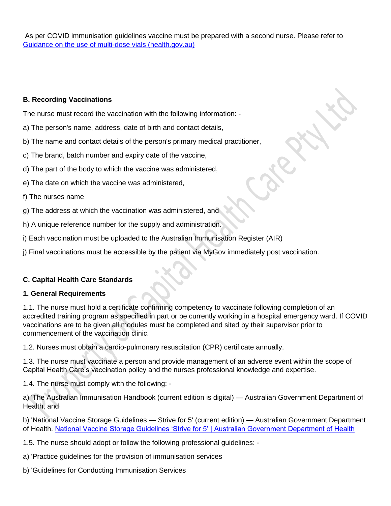As per COVID immunisation guidelines vaccine must be prepared with a second nurse. Please refer to [Guidance on the use of multi-dose vials \(health.gov.au\)](https://www.health.gov.au/sites/default/files/documents/2021/05/covid-19-vaccination-atagi-guidance-on-the-use-of-multi-dose-vials-for-covid-19-vaccination-covid-19-vaccination-atagi-guidance-on-the-use-of-multi-dose-vials-for-covid-19-vaccination.pdf)

## **B. Recording Vaccinations**

The nurse must record the vaccination with the following information: -

- a) The person's name, address, date of birth and contact details,
- b) The name and contact details of the person's primary medical practitioner,
- c) The brand, batch number and expiry date of the vaccine,
- d) The part of the body to which the vaccine was administered,
- e) The date on which the vaccine was administered,
- f) The nurses name
- g) The address at which the vaccination was administered, and
- h) A unique reference number for the supply and administration.
- i) Each vaccination must be uploaded to the Australian Immunisation Register (AIR)
- j) Final vaccinations must be accessible by the patient via MyGov immediately post vaccination.

# **C. Capital Health Care Standards**

# **1. General Requirements**

1.1. The nurse must hold a certificate confirming competency to vaccinate following completion of an accredited training program as specified in part or be currently working in a hospital emergency ward. If COVID vaccinations are to be given all modules must be completed and sited by their supervisor prior to commencement of the vaccination clinic.

1.2. Nurses must obtain a cardio-pulmonary resuscitation (CPR) certificate annually.

1.3. The nurse must vaccinate a person and provide management of an adverse event within the scope of Capital Health Care's vaccination policy and the nurses professional knowledge and expertise.

1.4. The nurse must comply with the following: -

a) 'The Australian Immunisation Handbook (current edition is digital) — Australian Government Department of Health, and

b) 'National Vaccine Storage Guidelines — Strive for 5' (current edition) — Australian Government Department of Health. [National Vaccine Storage Guidelines 'Strive for 5' | Australian Government Department of Health](https://www.health.gov.au/resources/publications/national-vaccine-storage-guidelines-strive-for-5)

1.5. The nurse should adopt or follow the following professional guidelines: -

a) 'Practice guidelines for the provision of immunisation services

b) 'Guidelines for Conducting Immunisation Services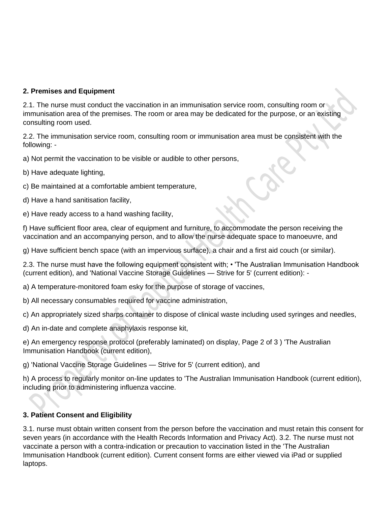# **2. Premises and Equipment**

2.1. The nurse must conduct the vaccination in an immunisation service room, consulting room or immunisation area of the premises. The room or area may be dedicated for the purpose, or an existing consulting room used.

2.2. The immunisation service room, consulting room or immunisation area must be consistent with the following: -

a) Not permit the vaccination to be visible or audible to other persons,

- b) Have adequate lighting,
- c) Be maintained at a comfortable ambient temperature,
- d) Have a hand sanitisation facility,
- e) Have ready access to a hand washing facility,

f) Have sufficient floor area, clear of equipment and furniture, to accommodate the person receiving the vaccination and an accompanying person, and to allow the nurse adequate space to manoeuvre, and

g) Have sufficient bench space (with an impervious surface), a chair and a first aid couch (or similar).

2.3. The nurse must have the following equipment consistent with; • 'The Australian Immunisation Handbook (current edition), and 'National Vaccine Storage Guidelines — Strive for 5' (current edition): -

a) A temperature-monitored foam esky for the purpose of storage of vaccines,

- b) All necessary consumables required for vaccine administration,
- c) An appropriately sized sharps container to dispose of clinical waste including used syringes and needles,

d) An in-date and complete anaphylaxis response kit,

e) An emergency response protocol (preferably laminated) on display, Page 2 of 3 ) 'The Australian Immunisation Handbook (current edition),

g) 'National Vaccine Storage Guidelines — Strive for 5' (current edition), and

h) A process to regularly monitor on-line updates to 'The Australian Immunisation Handbook (current edition), including prior to administering influenza vaccine.

# **3. Patient Consent and Eligibility**

3.1. nurse must obtain written consent from the person before the vaccination and must retain this consent for seven years (in accordance with the Health Records Information and Privacy Act). 3.2. The nurse must not vaccinate a person with a contra-indication or precaution to vaccination listed in the 'The Australian Immunisation Handbook (current edition). Current consent forms are either viewed via iPad or supplied laptops.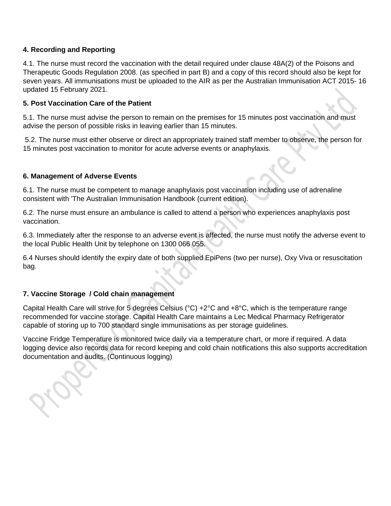## **4. Recording and Reporting**

4.1. The nurse must record the vaccination with the detail required under clause 48A(2) of the Poisons and Therapeutic Goods Regulation 2008. (as specified in part B) and a copy of this record should also be kept for seven years. All immunisations must be uploaded to the AIR as per the Australian Immunisation ACT 2015- 16 updated 15 February 2021.

## **5. Post Vaccination Care of the Patient**

5.1. The nurse must advise the person to remain on the premises for 15 minutes post vaccination and must advise the person of possible risks in leaving earlier than 15 minutes.

5.2. The nurse must either observe or direct an appropriately trained staff member to observe, the person for 15 minutes post vaccination to monitor for acute adverse events or anaphylaxis.

## **6. Management of Adverse Events**

6.1. The nurse must be competent to manage anaphylaxis post vaccination including use of adrenaline consistent with 'The Australian Immunisation Handbook (current edition).

6.2. The nurse must ensure an ambulance is called to attend a person who experiences anaphylaxis post vaccination.

6.3. Immediately after the response to an adverse event is affected, the nurse must notify the adverse event to the local Public Health Unit by telephone on 1300 066 055.

6.4 Nurses should identify the expiry date of both supplied EpiPens (two per nurse), Oxy Viva or resuscitation bag.

# **7. Vaccine Storage / Cold chain management**

Capital Health Care will strive for 5 degrees Celsius (°C) +2°C and +8°C, which is the temperature range recommended for vaccine storage. Capital Health Care maintains a Lec Medical Pharmacy Refrigerator capable of storing up to 700 standard single immunisations as per storage guidelines.

Vaccine Fridge Temperature is monitored twice daily via a temperature chart, or more if required. A data logging device also records data for record keeping and cold chain notifications this also supports accreditation documentation and audits. (Continuous logging)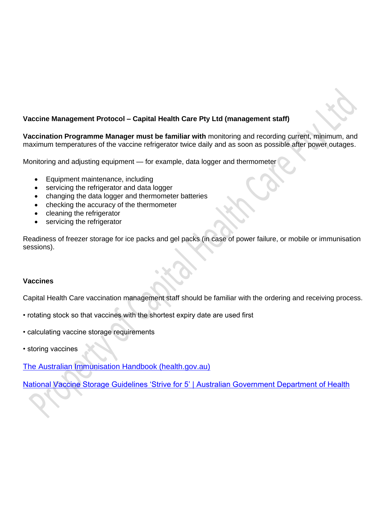

## **Vaccine Management Protocol – Capital Health Care Pty Ltd (management staff)**

**Vaccination Programme Manager must be familiar with** monitoring and recording current, minimum, and maximum temperatures of the vaccine refrigerator twice daily and as soon as possible after power outages.

Monitoring and adjusting equipment — for example, data logger and thermometer

- Equipment maintenance, including
- servicing the refrigerator and data logger
- changing the data logger and thermometer batteries
- checking the accuracy of the thermometer
- cleaning the refrigerator
- servicing the refrigerator

Readiness of freezer storage for ice packs and gel packs (in case of power failure, or mobile or immunisation sessions).

#### **Vaccines**

Capital Health Care vaccination management staff should be familiar with the ordering and receiving process.

- rotating stock so that vaccines with the shortest expiry date are used first
- calculating vaccine storage requirements
- storing vaccines

[The Australian Immunisation Handbook \(health.gov.au\)](https://immunisationhandbook.health.gov.au/)

[National Vaccine Storage Guidelines 'Strive for 5' | Australian Government Department of Health](https://www.health.gov.au/resources/publications/national-vaccine-storage-guidelines-strive-for-5)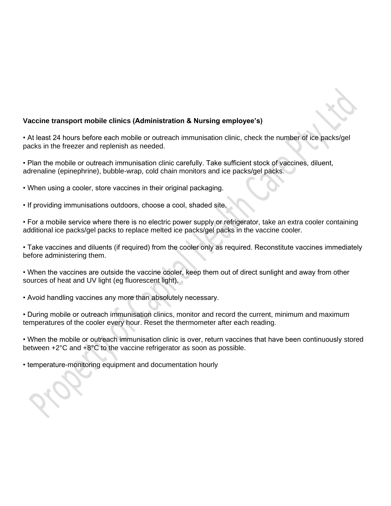

#### **Vaccine transport mobile clinics (Administration & Nursing employee's)**

• At least 24 hours before each mobile or outreach immunisation clinic, check the number of ice packs/gel packs in the freezer and replenish as needed.

• Plan the mobile or outreach immunisation clinic carefully. Take sufficient stock of vaccines, diluent, adrenaline (epinephrine), bubble-wrap, cold chain monitors and ice packs/gel packs.

- When using a cooler, store vaccines in their original packaging.
- If providing immunisations outdoors, choose a cool, shaded site.

• For a mobile service where there is no electric power supply or refrigerator, take an extra cooler containing additional ice packs/gel packs to replace melted ice packs/gel packs in the vaccine cooler.

• Take vaccines and diluents (if required) from the cooler only as required. Reconstitute vaccines immediately before administering them.

• When the vaccines are outside the vaccine cooler, keep them out of direct sunlight and away from other sources of heat and UV light (eg fluorescent light).

• Avoid handling vaccines any more than absolutely necessary.

• During mobile or outreach immunisation clinics, monitor and record the current, minimum and maximum temperatures of the cooler every hour. Reset the thermometer after each reading.

• When the mobile or outreach immunisation clinic is over, return vaccines that have been continuously stored between +2°C and +8°C to the vaccine refrigerator as soon as possible.

• temperature-monitoring equipment and documentation hourly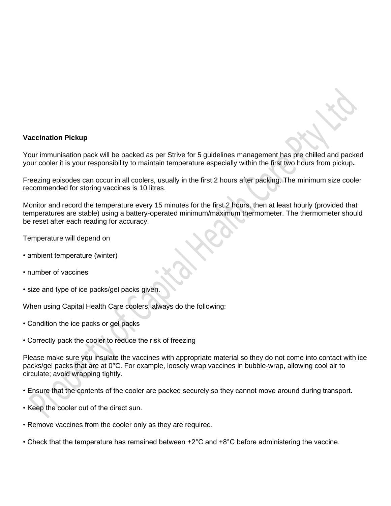

#### **Vaccination Pickup**

Your immunisation pack will be packed as per Strive for 5 guidelines management has pre chilled and packed your cooler it is your responsibility to maintain temperature especially within the first two hours from pickup**.**

Freezing episodes can occur in all coolers, usually in the first 2 hours after packing. The minimum size cooler recommended for storing vaccines is 10 litres.

Monitor and record the temperature every 15 minutes for the first 2 hours, then at least hourly (provided that temperatures are stable) using a battery-operated minimum/maximum thermometer. The thermometer should be reset after each reading for accuracy.

Temperature will depend on

- ambient temperature (winter)
- number of vaccines
- size and type of ice packs/gel packs given.

When using Capital Health Care coolers, always do the following:

- Condition the ice packs or gel packs
- Correctly pack the cooler to reduce the risk of freezing

Please make sure you insulate the vaccines with appropriate material so they do not come into contact with ice packs/gel packs that are at 0°C. For example, loosely wrap vaccines in bubble-wrap, allowing cool air to circulate; avoid wrapping tightly.

• Ensure that the contents of the cooler are packed securely so they cannot move around during transport.

- Keep the cooler out of the direct sun.
- Remove vaccines from the cooler only as they are required.
- Check that the temperature has remained between +2°C and +8°C before administering the vaccine.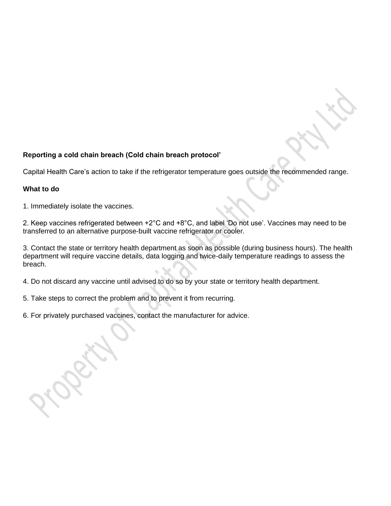# **Reporting a cold chain breach (Cold chain breach protocol'**

Capital Health Care's action to take if the refrigerator temperature goes outside the recommended range.

## **What to do**

1. Immediately isolate the vaccines.

2. Keep vaccines refrigerated between +2°C and +8°C, and label 'Do not use'. Vaccines may need to be transferred to an alternative purpose-built vaccine refrigerator or cooler.

3. Contact the state or territory health department as soon as possible (during business hours). The health department will require vaccine details, data logging and twice-daily temperature readings to assess the breach.

4. Do not discard any vaccine until advised to do so by your state or territory health department.

5. Take steps to correct the problem and to prevent it from recurring.

6. For privately purchased vaccines, contact the manufacturer for advice.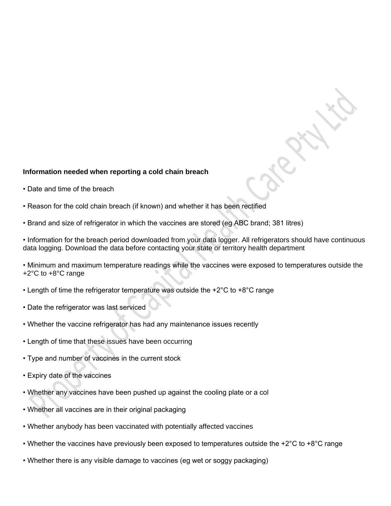#### **Information needed when reporting a cold chain breach**

- Date and time of the breach
- Reason for the cold chain breach (if known) and whether it has been rectified
- Brand and size of refrigerator in which the vaccines are stored (eg ABC brand; 381 litres)

• Information for the breach period downloaded from your data logger. All refrigerators should have continuous data logging. Download the data before contacting your state or territory health department

• Minimum and maximum temperature readings while the vaccines were exposed to temperatures outside the +2°C to +8°C range

- Length of time the refrigerator temperature was outside the +2°C to +8°C range
- Date the refrigerator was last serviced
- Whether the vaccine refrigerator has had any maintenance issues recently
- Length of time that these issues have been occurring
- Type and number of vaccines in the current stock
- Expiry date of the vaccines
- Whether any vaccines have been pushed up against the cooling plate or a col
- Whether all vaccines are in their original packaging
- Whether anybody has been vaccinated with potentially affected vaccines
- Whether the vaccines have previously been exposed to temperatures outside the +2 $^{\circ}$ C to +8 $^{\circ}$ C range
- Whether there is any visible damage to vaccines (eg wet or soggy packaging)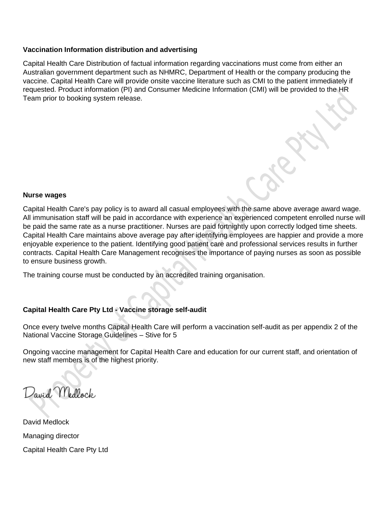## **Vaccination Information distribution and advertising**

Capital Health Care Distribution of factual information regarding vaccinations must come from either an Australian government department such as NHMRC, Department of Health or the company producing the vaccine. Capital Health Care will provide onsite vaccine literature such as CMI to the patient immediately if requested. Product information (PI) and Consumer Medicine Information (CMI) will be provided to the HR Team prior to booking system release.

#### **Nurse wages**

Capital Health Care's pay policy is to award all casual employees with the same above average award wage. All immunisation staff will be paid in accordance with experience an experienced competent enrolled nurse will be paid the same rate as a nurse practitioner. Nurses are paid fortnightly upon correctly lodged time sheets. Capital Health Care maintains above average pay after identifying employees are happier and provide a more enjoyable experience to the patient. Identifying good patient care and professional services results in further contracts. Capital Health Care Management recognises the importance of paying nurses as soon as possible to ensure business growth.

The training course must be conducted by an accredited training organisation.

## **Capital Health Care Pty Ltd - Vaccine storage self-audit**

Once every twelve months Capital Health Care will perform a vaccination self-audit as per appendix 2 of the National Vaccine Storage Guidelines – Stive for 5

Ongoing vaccine management for Capital Health Care and education for our current staff, and orientation of new staff members is of the highest priority.

David Medlock

David Medlock Managing director Capital Health Care Pty Ltd